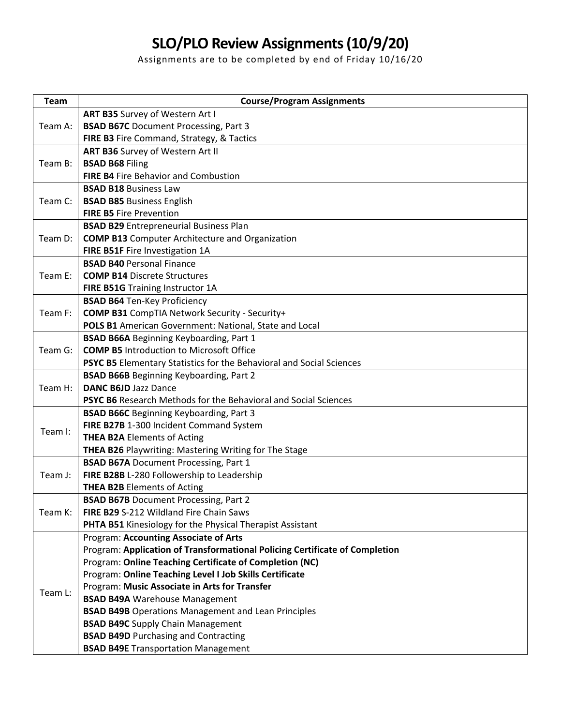## **SLO/PLO Review Assignments (10/9/20)**

Assignments are to be completed by end of Friday 10/16/20

| <b>Team</b>        | <b>Course/Program Assignments</b>                                                                            |
|--------------------|--------------------------------------------------------------------------------------------------------------|
| Team A:            | ART B35 Survey of Western Art I                                                                              |
|                    | <b>BSAD B67C</b> Document Processing, Part 3                                                                 |
|                    | FIRE B3 Fire Command, Strategy, & Tactics                                                                    |
| Team B:            | ART B36 Survey of Western Art II                                                                             |
|                    | <b>BSAD B68 Filing</b>                                                                                       |
|                    | <b>FIRE B4 Fire Behavior and Combustion</b>                                                                  |
| Team C:            | <b>BSAD B18 Business Law</b>                                                                                 |
|                    | <b>BSAD B85 Business English</b>                                                                             |
|                    | <b>FIRE B5 Fire Prevention</b>                                                                               |
| Team D:            | <b>BSAD B29</b> Entrepreneurial Business Plan                                                                |
|                    | <b>COMP B13</b> Computer Architecture and Organization                                                       |
|                    | FIRE B51F Fire Investigation 1A                                                                              |
| Team E:            | <b>BSAD B40 Personal Finance</b>                                                                             |
|                    | <b>COMP B14 Discrete Structures</b>                                                                          |
|                    | FIRE B51G Training Instructor 1A                                                                             |
| Team F:            | <b>BSAD B64 Ten-Key Proficiency</b>                                                                          |
|                    | <b>COMP B31</b> CompTIA Network Security - Security+                                                         |
|                    | POLS B1 American Government: National, State and Local                                                       |
| Team G:            | <b>BSAD B66A Beginning Keyboarding, Part 1</b>                                                               |
|                    | <b>COMP B5 Introduction to Microsoft Office</b>                                                              |
|                    | PSYC B5 Elementary Statistics for the Behavioral and Social Sciences                                         |
| Team H:            | <b>BSAD B66B</b> Beginning Keyboarding, Part 2                                                               |
|                    | <b>DANC B6JD Jazz Dance</b>                                                                                  |
|                    | <b>PSYC B6</b> Research Methods for the Behavioral and Social Sciences                                       |
| Team I:<br>Team J: | <b>BSAD B66C</b> Beginning Keyboarding, Part 3<br>FIRE B27B 1-300 Incident Command System                    |
|                    | <b>THEA B2A Elements of Acting</b>                                                                           |
|                    |                                                                                                              |
|                    | <b>THEA B26 Playwriting: Mastering Writing for The Stage</b><br><b>BSAD B67A Document Processing, Part 1</b> |
|                    | FIRE B28B L-280 Followership to Leadership                                                                   |
|                    | <b>THEA B2B Elements of Acting</b>                                                                           |
| Team K:            | <b>BSAD B67B</b> Document Processing, Part 2                                                                 |
|                    | FIRE B29 S-212 Wildland Fire Chain Saws                                                                      |
|                    | PHTA B51 Kinesiology for the Physical Therapist Assistant                                                    |
|                    | Program: Accounting Associate of Arts                                                                        |
| Team L:            | Program: Application of Transformational Policing Certificate of Completion                                  |
|                    | Program: Online Teaching Certificate of Completion (NC)                                                      |
|                    | Program: Online Teaching Level I Job Skills Certificate                                                      |
|                    | Program: Music Associate in Arts for Transfer                                                                |
|                    | <b>BSAD B49A Warehouse Management</b>                                                                        |
|                    | <b>BSAD B49B</b> Operations Management and Lean Principles                                                   |
|                    | <b>BSAD B49C</b> Supply Chain Management                                                                     |
|                    | <b>BSAD B49D Purchasing and Contracting</b>                                                                  |
|                    | <b>BSAD B49E</b> Transportation Management                                                                   |